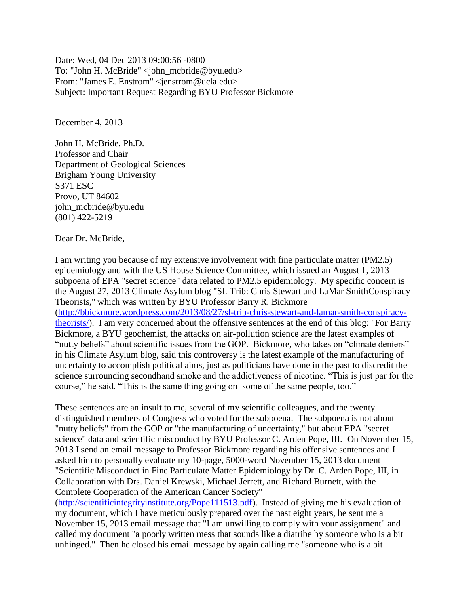Date: Wed, 04 Dec 2013 09:00:56 -0800 To: "John H. McBride" <john\_mcbride@byu.edu> From: "James E. Enstrom" <jenstrom@ucla.edu> Subject: Important Request Regarding BYU Professor Bickmore

December 4, 2013

John H. McBride, Ph.D. Professor and Chair Department of Geological Sciences Brigham Young University S371 ESC Provo, UT 84602 john\_mcbride@byu.edu (801) 422-5219

Dear Dr. McBride,

I am writing you because of my extensive involvement with fine particulate matter (PM2.5) epidemiology and with the US House Science Committee, which issued an August 1, 2013 subpoena of EPA "secret science" data related to PM2.5 epidemiology. My specific concern is the August 27, 2013 Climate Asylum blog "SL Trib: Chris Stewart and LaMar SmithConspiracy Theorists," which was written by BYU Professor Barry R. Bickmore [\(http://bbickmore.wordpress.com/2013/08/27/sl-trib-chris-stewart-and-lamar-smith-conspiracy](http://bbickmore.wordpress.com/2013/08/27/sl-trib-chris-stewart-and-lamar-smith-conspiracy-theorists/)[theorists/\)](http://bbickmore.wordpress.com/2013/08/27/sl-trib-chris-stewart-and-lamar-smith-conspiracy-theorists/). I am very concerned about the offensive sentences at the end of this blog: "For Barry Bickmore, a BYU geochemist, the attacks on air-pollution science are the latest examples of "nutty beliefs" about scientific issues from the GOP. Bickmore, who takes on "climate deniers" in his Climate Asylum blog, said this controversy is the latest example of the manufacturing of uncertainty to accomplish political aims, just as politicians have done in the past to discredit the science surrounding secondhand smoke and the addictiveness of nicotine. "This is just par for the

These sentences are an insult to me, several of my scientific colleagues, and the twenty distinguished members of Congress who voted for the subpoena. The subpoena is not about "nutty beliefs" from the GOP or "the manufacturing of uncertainty," but about EPA "secret science" data and scientific misconduct by BYU Professor C. Arden Pope, III. On November 15, 2013 I send an email message to Professor Bickmore regarding his offensive sentences and I asked him to personally evaluate my 10-page, 5000-word November 15, 2013 document "Scientific Misconduct in Fine Particulate Matter Epidemiology by Dr. C. Arden Pope, III, in Collaboration with Drs. Daniel Krewski, Michael Jerrett, and Richard Burnett, with the Complete Cooperation of the American Cancer Society"

course," he said. "This is the same thing going on some of the same people, too."

[\(http://scientificintegrityinstitute.org/Pope111513.pdf\)](http://scientificintegrityinstitute.org/Pope111513.pdf). Instead of giving me his evaluation of my document, which I have meticulously prepared over the past eight years, he sent me a November 15, 2013 email message that "I am unwilling to comply with your assignment" and called my document "a poorly written mess that sounds like a diatribe by someone who is a bit unhinged." Then he closed his email message by again calling me "someone who is a bit